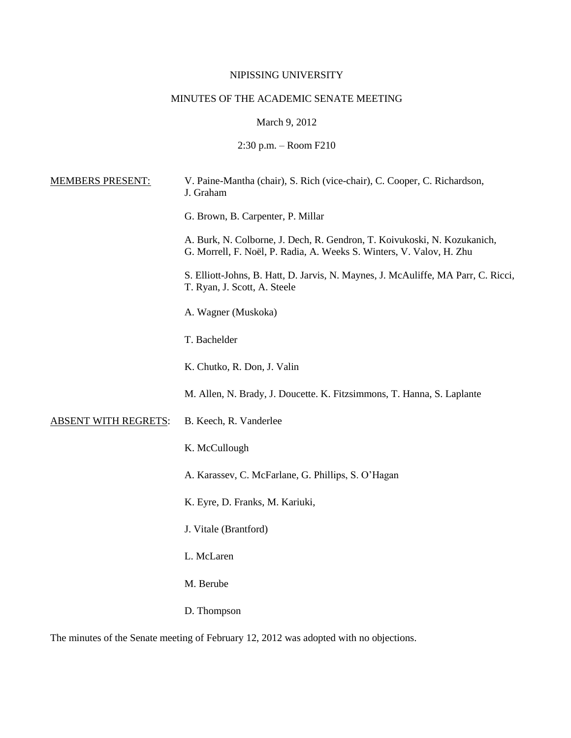## NIPISSING UNIVERSITY

# MINUTES OF THE ACADEMIC SENATE MEETING

March 9, 2012

2:30 p.m. – Room F210

| <b>MEMBERS PRESENT:</b>     | V. Paine-Mantha (chair), S. Rich (vice-chair), C. Cooper, C. Richardson,<br>J. Graham                                                            |
|-----------------------------|--------------------------------------------------------------------------------------------------------------------------------------------------|
|                             | G. Brown, B. Carpenter, P. Millar                                                                                                                |
|                             | A. Burk, N. Colborne, J. Dech, R. Gendron, T. Koivukoski, N. Kozukanich,<br>G. Morrell, F. Noël, P. Radia, A. Weeks S. Winters, V. Valov, H. Zhu |
|                             | S. Elliott-Johns, B. Hatt, D. Jarvis, N. Maynes, J. McAuliffe, MA Parr, C. Ricci,<br>T. Ryan, J. Scott, A. Steele                                |
|                             | A. Wagner (Muskoka)                                                                                                                              |
|                             | T. Bachelder                                                                                                                                     |
|                             | K. Chutko, R. Don, J. Valin                                                                                                                      |
|                             | M. Allen, N. Brady, J. Doucette. K. Fitzsimmons, T. Hanna, S. Laplante                                                                           |
| <b>ABSENT WITH REGRETS:</b> | B. Keech, R. Vanderlee                                                                                                                           |
|                             | K. McCullough                                                                                                                                    |
|                             | A. Karassev, C. McFarlane, G. Phillips, S. O'Hagan                                                                                               |
|                             | K. Eyre, D. Franks, M. Kariuki,                                                                                                                  |
|                             | J. Vitale (Brantford)                                                                                                                            |
|                             | L. McLaren                                                                                                                                       |
|                             | M. Berube                                                                                                                                        |
|                             | D. Thompson                                                                                                                                      |

The minutes of the Senate meeting of February 12, 2012 was adopted with no objections.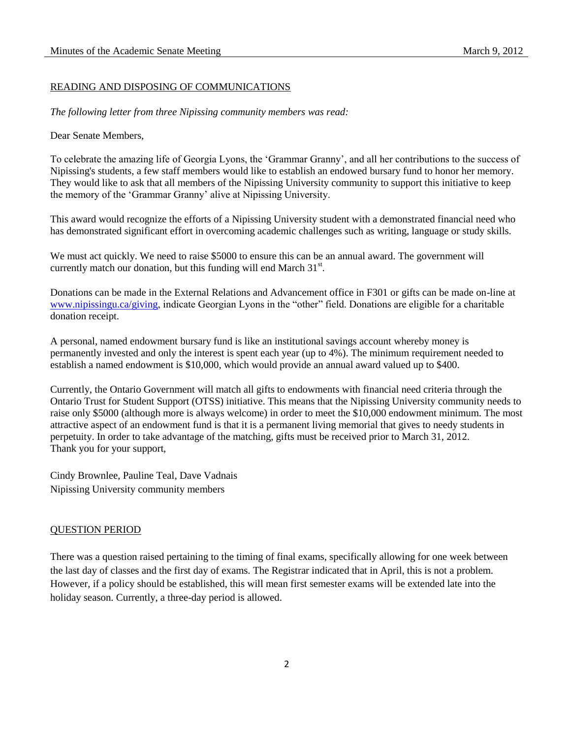## READING AND DISPOSING OF COMMUNICATIONS

*The following letter from three Nipissing community members was read:*

#### Dear Senate Members,

To celebrate the amazing life of Georgia Lyons, the 'Grammar Granny', and all her contributions to the success of Nipissing's students, a few staff members would like to establish an endowed bursary fund to honor her memory. They would like to ask that all members of the Nipissing University community to support this initiative to keep the memory of the 'Grammar Granny' alive at Nipissing University.

This award would recognize the efforts of a Nipissing University student with a demonstrated financial need who has demonstrated significant effort in overcoming academic challenges such as writing, language or study skills.

We must act quickly. We need to raise \$5000 to ensure this can be an annual award. The government will currently match our donation, but this funding will end March  $31<sup>st</sup>$ .

Donations can be made in the External Relations and Advancement office in F301 or gifts can be made on-line at [www.nipissingu.ca/giving,](http://www.nipissingu.ca/giving) indicate Georgian Lyons in the "other" field. Donations are eligible for a charitable donation receipt.

A personal, named endowment bursary fund is like an institutional savings account whereby money is permanently invested and only the interest is spent each year (up to 4%). The minimum requirement needed to establish a named endowment is \$10,000, which would provide an annual award valued up to \$400.

Currently, the Ontario Government will match all gifts to endowments with financial need criteria through the Ontario Trust for Student Support (OTSS) initiative. This means that the Nipissing University community needs to raise only \$5000 (although more is always welcome) in order to meet the \$10,000 endowment minimum. The most attractive aspect of an endowment fund is that it is a permanent living memorial that gives to needy students in perpetuity. In order to take advantage of the matching, gifts must be received prior to March 31, 2012. Thank you for your support,

Cindy Brownlee, Pauline Teal, Dave Vadnais Nipissing University community members

### QUESTION PERIOD

There was a question raised pertaining to the timing of final exams, specifically allowing for one week between the last day of classes and the first day of exams. The Registrar indicated that in April, this is not a problem. However, if a policy should be established, this will mean first semester exams will be extended late into the holiday season. Currently, a three-day period is allowed.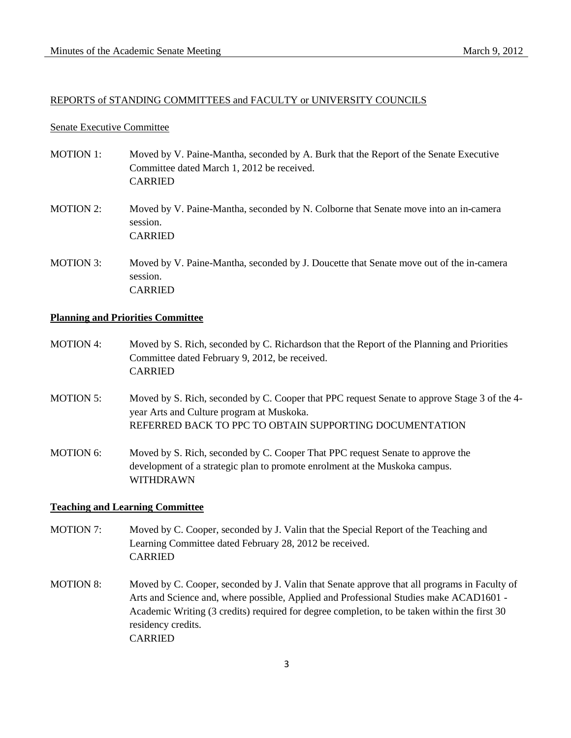#### REPORTS of STANDING COMMITTEES and FACULTY or UNIVERSITY COUNCILS

#### Senate Executive Committee

- MOTION 1: Moved by V. Paine-Mantha, seconded by A. Burk that the Report of the Senate Executive Committee dated March 1, 2012 be received. CARRIED
- MOTION 2: Moved by V. Paine-Mantha, seconded by N. Colborne that Senate move into an in-camera session. CARRIED
- MOTION 3: Moved by V. Paine-Mantha, seconded by J. Doucette that Senate move out of the in-camera session. CARRIED

#### **Planning and Priorities Committee**

- MOTION 4: Moved by S. Rich, seconded by C. Richardson that the Report of the Planning and Priorities Committee dated February 9, 2012, be received. CARRIED
- MOTION 5: Moved by S. Rich, seconded by C. Cooper that PPC request Senate to approve Stage 3 of the 4 year Arts and Culture program at Muskoka. REFERRED BACK TO PPC TO OBTAIN SUPPORTING DOCUMENTATION
- MOTION 6: Moved by S. Rich, seconded by C. Cooper That PPC request Senate to approve the development of a strategic plan to promote enrolment at the Muskoka campus. WITHDRAWN

## **Teaching and Learning Committee**

- MOTION 7: Moved by C. Cooper, seconded by J. Valin that the Special Report of the Teaching and Learning Committee dated February 28, 2012 be received. CARRIED
- MOTION 8: Moved by C. Cooper, seconded by J. Valin that Senate approve that all programs in Faculty of Arts and Science and, where possible, Applied and Professional Studies make ACAD1601 - Academic Writing (3 credits) required for degree completion, to be taken within the first 30 residency credits. CARRIED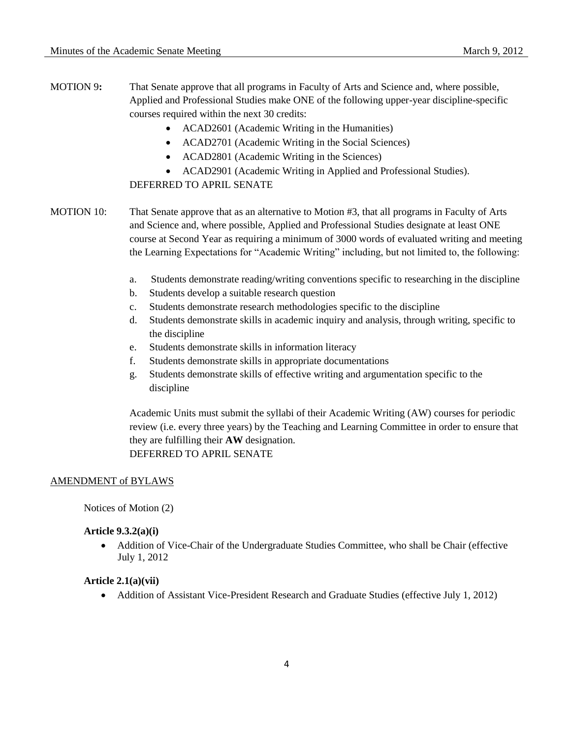- MOTION 9**:** That Senate approve that all programs in Faculty of Arts and Science and, where possible, Applied and Professional Studies make ONE of the following upper-year discipline-specific courses required within the next 30 credits:
	- ACAD2601 (Academic Writing in the Humanities)
	- ACAD2701 (Academic Writing in the Social Sciences)
	- ACAD2801 (Academic Writing in the Sciences)
	- ACAD2901 (Academic Writing in Applied and Professional Studies).

## DEFERRED TO APRIL SENATE

- MOTION 10: That Senate approve that as an alternative to Motion #3, that all programs in Faculty of Arts and Science and, where possible, Applied and Professional Studies designate at least ONE course at Second Year as requiring a minimum of 3000 words of evaluated writing and meeting the Learning Expectations for "Academic Writing" including, but not limited to, the following:
	- a. Students demonstrate reading/writing conventions specific to researching in the discipline
	- b. Students develop a suitable research question
	- c. Students demonstrate research methodologies specific to the discipline
	- d. Students demonstrate skills in academic inquiry and analysis, through writing, specific to the discipline
	- e. Students demonstrate skills in information literacy
	- f. Students demonstrate skills in appropriate documentations
	- g. Students demonstrate skills of effective writing and argumentation specific to the discipline

Academic Units must submit the syllabi of their Academic Writing (AW) courses for periodic review (i.e. every three years) by the Teaching and Learning Committee in order to ensure that they are fulfilling their **AW** designation. DEFERRED TO APRIL SENATE

#### AMENDMENT of BYLAWS

Notices of Motion (2)

#### **Article 9.3.2(a)(i)**

 Addition of Vice-Chair of the Undergraduate Studies Committee, who shall be Chair (effective July 1, 2012

### **Article 2.1(a)(vii)**

• Addition of Assistant Vice-President Research and Graduate Studies (effective July 1, 2012)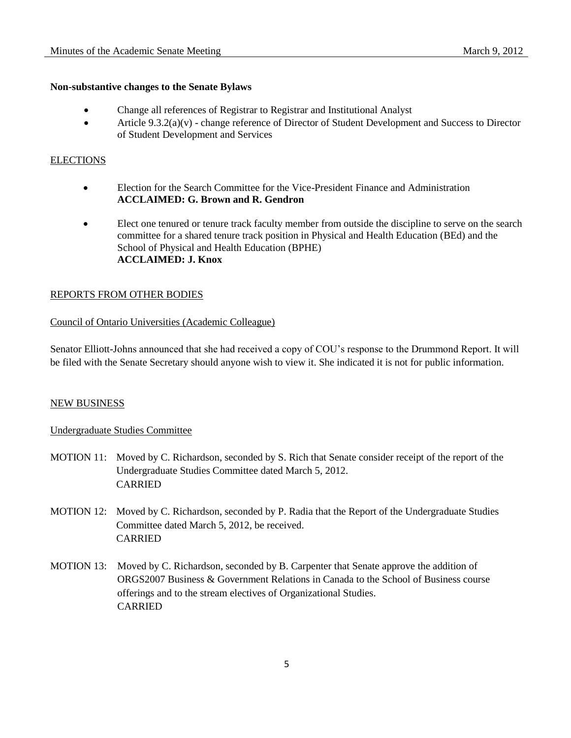## **Non-substantive changes to the Senate Bylaws**

- Change all references of Registrar to Registrar and Institutional Analyst
- $\bullet$  Article 9.3.2(a)(v) change reference of Director of Student Development and Success to Director of Student Development and Services

#### **ELECTIONS**

- Election for the Search Committee for the Vice-President Finance and Administration **ACCLAIMED: G. Brown and R. Gendron**
- Elect one tenured or tenure track faculty member from outside the discipline to serve on the search committee for a shared tenure track position in Physical and Health Education (BEd) and the School of Physical and Health Education (BPHE) **ACCLAIMED: J. Knox**

### REPORTS FROM OTHER BODIES

### Council of Ontario Universities (Academic Colleague)

Senator Elliott-Johns announced that she had received a copy of COU's response to the Drummond Report. It will be filed with the Senate Secretary should anyone wish to view it. She indicated it is not for public information.

### NEW BUSINESS

## Undergraduate Studies Committee

- MOTION 11: Moved by C. Richardson, seconded by S. Rich that Senate consider receipt of the report of the Undergraduate Studies Committee dated March 5, 2012. CARRIED
- MOTION 12: Moved by C. Richardson, seconded by P. Radia that the Report of the Undergraduate Studies Committee dated March 5, 2012, be received. CARRIED
- MOTION 13: Moved by C. Richardson, seconded by B. Carpenter that Senate approve the addition of ORGS2007 Business & Government Relations in Canada to the School of Business course offerings and to the stream electives of Organizational Studies. CARRIED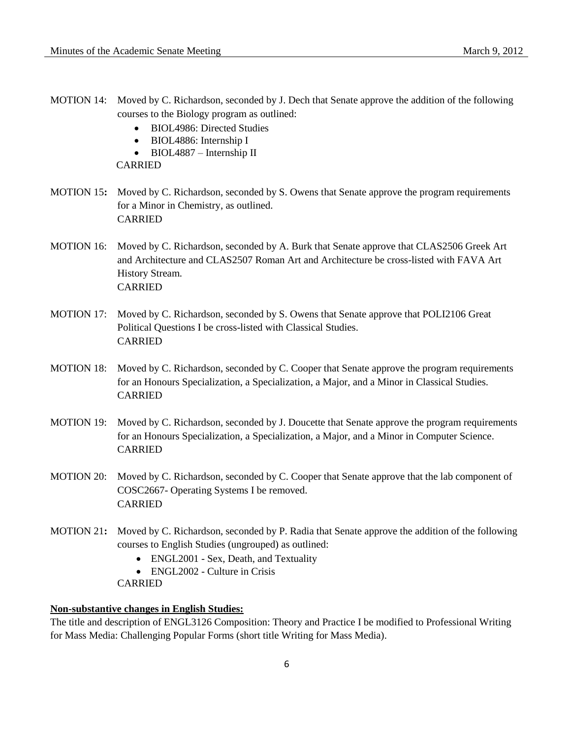- MOTION 14: Moved by C. Richardson, seconded by J. Dech that Senate approve the addition of the following courses to the Biology program as outlined:
	- BIOL4986: Directed Studies
	- BIOL4886: Internship I
	- BIOL4887 Internship II

CARRIED

- MOTION 15**:** Moved by C. Richardson, seconded by S. Owens that Senate approve the program requirements for a Minor in Chemistry, as outlined. CARRIED
- MOTION 16: Moved by C. Richardson, seconded by A. Burk that Senate approve that CLAS2506 Greek Art and Architecture and CLAS2507 Roman Art and Architecture be cross-listed with FAVA Art History Stream. CARRIED
- MOTION 17: Moved by C. Richardson, seconded by S. Owens that Senate approve that POLI2106 Great Political Questions I be cross-listed with Classical Studies. CARRIED
- MOTION 18: Moved by C. Richardson, seconded by C. Cooper that Senate approve the program requirements for an Honours Specialization, a Specialization, a Major, and a Minor in Classical Studies. CARRIED
- MOTION 19: Moved by C. Richardson, seconded by J. Doucette that Senate approve the program requirements for an Honours Specialization, a Specialization, a Major, and a Minor in Computer Science. CARRIED
- MOTION 20: Moved by C. Richardson, seconded by C. Cooper that Senate approve that the lab component of COSC2667- Operating Systems I be removed. CARRIED
- MOTION 21**:** Moved by C. Richardson, seconded by P. Radia that Senate approve the addition of the following courses to English Studies (ungrouped) as outlined:
	- ENGL2001 Sex, Death, and Textuality
	- ENGL2002 Culture in Crisis
	- CARRIED

## **Non-substantive changes in English Studies:**

The title and description of ENGL3126 Composition: Theory and Practice I be modified to Professional Writing for Mass Media: Challenging Popular Forms (short title Writing for Mass Media).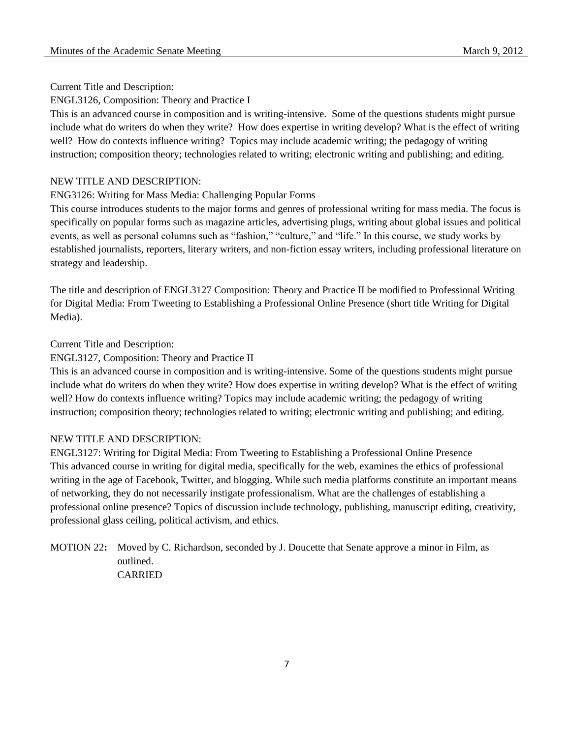### Current Title and Description:

### ENGL3126, Composition: Theory and Practice I

This is an advanced course in composition and is writing-intensive. Some of the questions students might pursue include what do writers do when they write? How does expertise in writing develop? What is the effect of writing well? How do contexts influence writing? Topics may include academic writing; the pedagogy of writing instruction; composition theory; technologies related to writing; electronic writing and publishing; and editing.

#### NEW TITLE AND DESCRIPTION:

## ENG3126: Writing for Mass Media: Challenging Popular Forms

This course introduces students to the major forms and genres of professional writing for mass media. The focus is specifically on popular forms such as magazine articles, advertising plugs, writing about global issues and political events, as well as personal columns such as "fashion," "culture," and "life." In this course, we study works by established journalists, reporters, literary writers, and non-fiction essay writers, including professional literature on strategy and leadership.

The title and description of ENGL3127 Composition: Theory and Practice II be modified to Professional Writing for Digital Media: From Tweeting to Establishing a Professional Online Presence (short title Writing for Digital Media).

#### Current Title and Description:

#### ENGL3127, Composition: Theory and Practice II

This is an advanced course in composition and is writing-intensive. Some of the questions students might pursue include what do writers do when they write? How does expertise in writing develop? What is the effect of writing well? How do contexts influence writing? Topics may include academic writing; the pedagogy of writing instruction; composition theory; technologies related to writing; electronic writing and publishing; and editing.

#### NEW TITLE AND DESCRIPTION:

ENGL3127: Writing for Digital Media: From Tweeting to Establishing a Professional Online Presence This advanced course in writing for digital media, specifically for the web, examines the ethics of professional writing in the age of Facebook, Twitter, and blogging. While such media platforms constitute an important means of networking, they do not necessarily instigate professionalism. What are the challenges of establishing a professional online presence? Topics of discussion include technology, publishing, manuscript editing, creativity, professional glass ceiling, political activism, and ethics.

MOTION 22**:** Moved by C. Richardson, seconded by J. Doucette that Senate approve a minor in Film, as outlined. CARRIED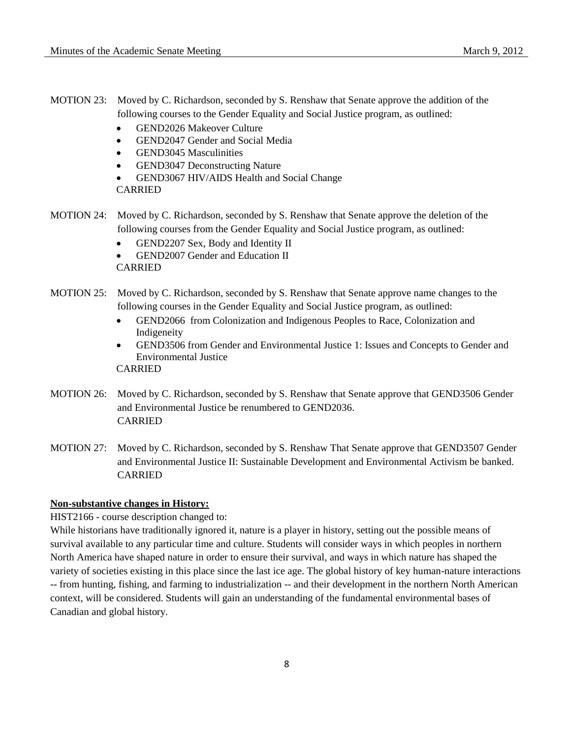- MOTION 23: Moved by C. Richardson, seconded by S. Renshaw that Senate approve the addition of the following courses to the Gender Equality and Social Justice program, as outlined:
	- GEND2026 Makeover Culture
	- GEND2047 Gender and Social Media
	- GEND3045 Masculinities
	- GEND3047 Deconstructing Nature
	- GEND3067 HIV/AIDS Health and Social Change

CARRIED

- MOTION 24: Moved by C. Richardson, seconded by S. Renshaw that Senate approve the deletion of the following courses from the Gender Equality and Social Justice program, as outlined:
	- GEND2207 Sex, Body and Identity II
	- GEND2007 Gender and Education II CARRIED
- MOTION 25: Moved by C. Richardson, seconded by S. Renshaw that Senate approve name changes to the following courses in the Gender Equality and Social Justice program, as outlined:
	- GEND2066 from Colonization and Indigenous Peoples to Race, Colonization and Indigeneity
	- GEND3506 from Gender and Environmental Justice 1: Issues and Concepts to Gender and Environmental Justice

CARRIED

- MOTION 26: Moved by C. Richardson, seconded by S. Renshaw that Senate approve that GEND3506 Gender and Environmental Justice be renumbered to GEND2036. CARRIED
- MOTION 27: Moved by C. Richardson, seconded by S. Renshaw That Senate approve that GEND3507 Gender and Environmental Justice II: Sustainable Development and Environmental Activism be banked. CARRIED

## **Non-substantive changes in History:**

HIST2166 - course description changed to:

While historians have traditionally ignored it, nature is a player in history, setting out the possible means of survival available to any particular time and culture. Students will consider ways in which peoples in northern North America have shaped nature in order to ensure their survival, and ways in which nature has shaped the variety of societies existing in this place since the last ice age. The global history of key human-nature interactions -- from hunting, fishing, and farming to industrialization -- and their development in the northern North American context, will be considered. Students will gain an understanding of the fundamental environmental bases of Canadian and global history.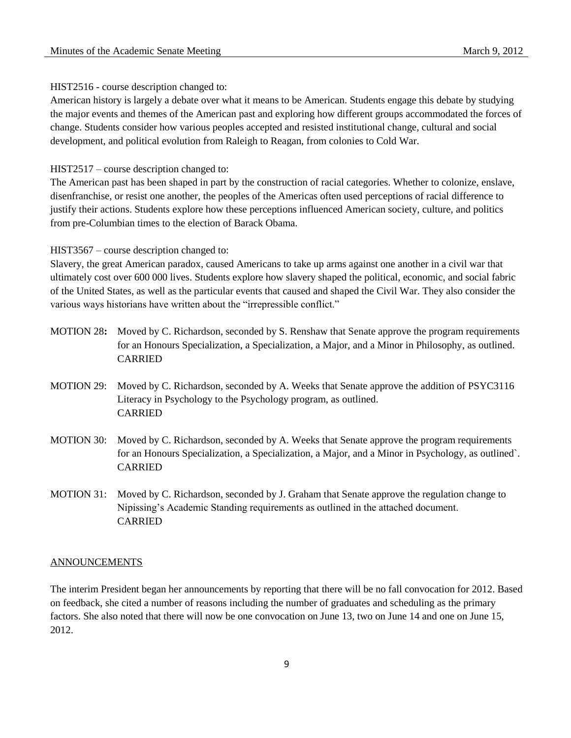## HIST2516 - course description changed to:

American history is largely a debate over what it means to be American. Students engage this debate by studying the major events and themes of the American past and exploring how different groups accommodated the forces of change. Students consider how various peoples accepted and resisted institutional change, cultural and social development, and political evolution from Raleigh to Reagan, from colonies to Cold War.

HIST2517 – course description changed to:

The American past has been shaped in part by the construction of racial categories. Whether to colonize, enslave, disenfranchise, or resist one another, the peoples of the Americas often used perceptions of racial difference to justify their actions. Students explore how these perceptions influenced American society, culture, and politics from pre-Columbian times to the election of Barack Obama.

#### HIST3567 – course description changed to:

Slavery, the great American paradox, caused Americans to take up arms against one another in a civil war that ultimately cost over 600 000 lives. Students explore how slavery shaped the political, economic, and social fabric of the United States, as well as the particular events that caused and shaped the Civil War. They also consider the various ways historians have written about the "irrepressible conflict."

- MOTION 28**:** Moved by C. Richardson, seconded by S. Renshaw that Senate approve the program requirements for an Honours Specialization, a Specialization, a Major, and a Minor in Philosophy, as outlined. CARRIED
- MOTION 29: Moved by C. Richardson, seconded by A. Weeks that Senate approve the addition of PSYC3116 Literacy in Psychology to the Psychology program, as outlined. CARRIED
- MOTION 30: Moved by C. Richardson, seconded by A. Weeks that Senate approve the program requirements for an Honours Specialization, a Specialization, a Major, and a Minor in Psychology, as outlined`. CARRIED
- MOTION 31: Moved by C. Richardson, seconded by J. Graham that Senate approve the regulation change to Nipissing's Academic Standing requirements as outlined in the attached document. CARRIED

#### **ANNOUNCEMENTS**

The interim President began her announcements by reporting that there will be no fall convocation for 2012. Based on feedback, she cited a number of reasons including the number of graduates and scheduling as the primary factors. She also noted that there will now be one convocation on June 13, two on June 14 and one on June 15, 2012.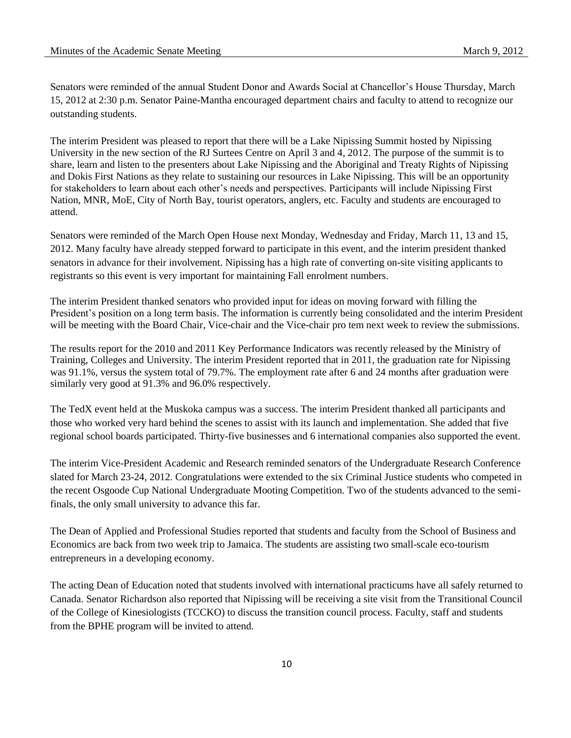Senators were reminded of the annual Student Donor and Awards Social at Chancellor's House Thursday, March 15, 2012 at 2:30 p.m. Senator Paine-Mantha encouraged department chairs and faculty to attend to recognize our outstanding students.

The interim President was pleased to report that there will be a Lake Nipissing Summit hosted by Nipissing University in the new section of the RJ Surtees Centre on April 3 and 4, 2012. The purpose of the summit is to share, learn and listen to the presenters about Lake Nipissing and the Aboriginal and Treaty Rights of Nipissing and Dokis First Nations as they relate to sustaining our resources in Lake Nipissing. This will be an opportunity for stakeholders to learn about each other's needs and perspectives. Participants will include Nipissing First Nation, MNR, MoE, City of North Bay, tourist operators, anglers, etc. Faculty and students are encouraged to attend.

Senators were reminded of the March Open House next Monday, Wednesday and Friday, March 11, 13 and 15, 2012. Many faculty have already stepped forward to participate in this event, and the interim president thanked senators in advance for their involvement. Nipissing has a high rate of converting on-site visiting applicants to registrants so this event is very important for maintaining Fall enrolment numbers.

The interim President thanked senators who provided input for ideas on moving forward with filling the President's position on a long term basis. The information is currently being consolidated and the interim President will be meeting with the Board Chair, Vice-chair and the Vice-chair pro tem next week to review the submissions.

The results report for the 2010 and 2011 Key Performance Indicators was recently released by the Ministry of Training, Colleges and University. The interim President reported that in 2011, the graduation rate for Nipissing was 91.1%, versus the system total of 79.7%. The employment rate after 6 and 24 months after graduation were similarly very good at 91.3% and 96.0% respectively.

The TedX event held at the Muskoka campus was a success. The interim President thanked all participants and those who worked very hard behind the scenes to assist with its launch and implementation. She added that five regional school boards participated. Thirty-five businesses and 6 international companies also supported the event.

The interim Vice-President Academic and Research reminded senators of the Undergraduate Research Conference slated for March 23-24, 2012. Congratulations were extended to the six Criminal Justice students who competed in the recent Osgoode Cup National Undergraduate Mooting Competition. Two of the students advanced to the semifinals, the only small university to advance this far.

The Dean of Applied and Professional Studies reported that students and faculty from the School of Business and Economics are back from two week trip to Jamaica. The students are assisting two small-scale eco-tourism entrepreneurs in a developing economy.

The acting Dean of Education noted that students involved with international practicums have all safely returned to Canada. Senator Richardson also reported that Nipissing will be receiving a site visit from the Transitional Council of the College of Kinesiologists (TCCKO) to discuss the transition council process. Faculty, staff and students from the BPHE program will be invited to attend.